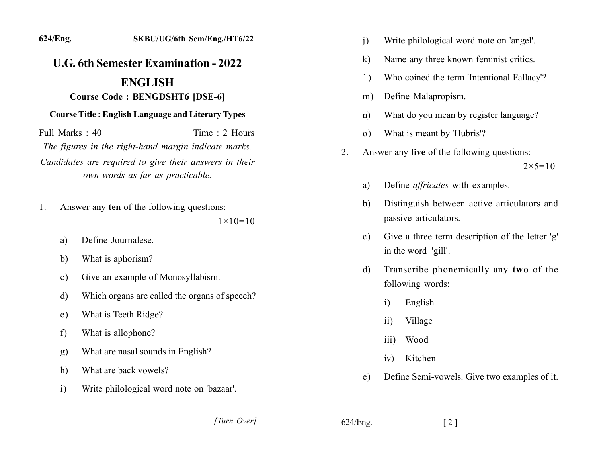## 624/Eng. SKBU/UG/6th Sem/Eng./HT6/22 **U.G. 6th Semester Examination - 2022**

## **ENGLISH**

## **Course Code: BENGDSHT6 [DSE-6]**

## **Course Title: English Language and Literary Types**

Full Marks: 40 Time: 2 Hours The figures in the right-hand margin indicate marks. Candidates are required to give their answers in their own words as far as practicable.

Answer any ten of the following questions: 1.

 $1 \times 10 = 10$ 

- Define Journalese. a)
- What is aphorism? b)
- Give an example of Monosyllabism.  $\mathbf{c}$ )
- Which organs are called the organs of speech?  $\mathbf{d}$
- What is Teeth Ridge?  $e)$
- What is allophone?  $f$
- What are nasal sounds in English? g)
- What are back vowels? h)
- Write philological word note on 'bazaar'.  $\mathbf{i}$ 
	- [Turn Over]
- Write philological word note on 'angel'.  $\mathbf{i}$
- Name any three known feminist critics.  $\bf k$
- Who coined the term 'Intentional Fallacy'? 1)
- Define Malapropism.  $m)$
- What do you mean by register language?  $n)$
- What is meant by 'Hubris'?  $(0)$
- Answer any five of the following questions:  $2.$

 $2 \times 5 = 10$ 

- Define *affricates* with examples. a)
- Distinguish between active articulators and  $\mathbf{b}$ passive articulators.
- Give a three term description of the letter 'g'  $c)$ in the word 'gill'.
- Transcribe phonemically any two of the  $\mathbf{d}$ following words:
	- English  $\mathbf{i}$
	- Village  $\overline{11}$
	- $\overline{111}$ ) Wood
	- Kitchen  $iv)$
- Define Semi-vowels. Give two examples of it.  $e)$

 $\lceil 2 \rceil$ 

 $624/Eng.$